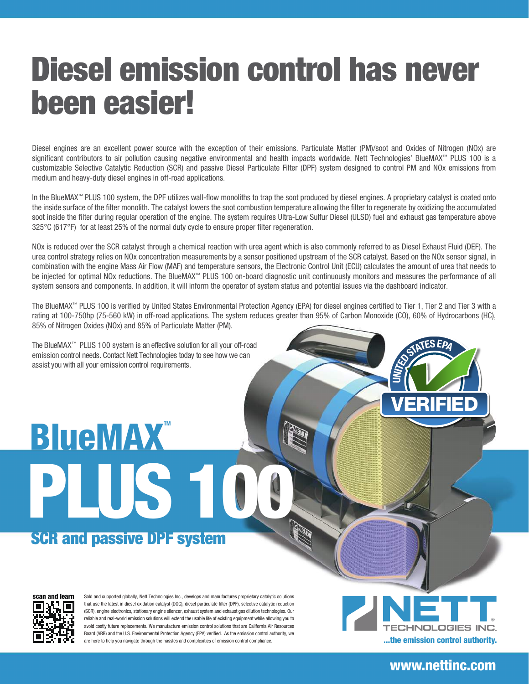## Diesel emission control has never been easier!

Diesel engines are an excellent power source with the exception of their emissions. Particulate Matter (PM)/soot and Oxides of Nitrogen (NOx) are significant contributors to air pollution causing negative environmental and health impacts worldwide. Nett Technologies' BlueMAX™ PLUS 100 is a customizable Selective Catalytic Reduction (SCR) and passive Diesel Particulate Filter (DPF) system designed to control PM and NOx emissions from medium and heavy-duty diesel engines in off-road applications.

In the BlueMAX™ PLUS 100 system, the DPF utilizes wall-flow monoliths to trap the soot produced by diesel engines. A proprietary catalyst is coated onto the inside surface of the filter monolith. The catalyst lowers the soot combustion temperature allowing the filter to regenerate by oxidizing the accumulated soot inside the filter during regular operation of the engine. The system requires Ultra-Low Sulfur Diesel (ULSD) fuel and exhaust gas temperature above 325°C (617°F) for at least 25% of the normal duty cycle to ensure proper filter regeneration.

NOx is reduced over the SCR catalyst through a chemical reaction with urea agent which is also commonly referred to as Diesel Exhaust Fluid (DEF). The urea control strategy relies on NOx concentration measurements by a sensor positioned upstream of the SCR catalyst. Based on the NOx sensor signal, in combination with the engine Mass Air Flow (MAF) and temperature sensors, the Electronic Control Unit (ECU) calculates the amount of urea that needs to be injected for optimal NOx reductions. The BlueMAX™ PLUS 100 on-board diagnostic unit continuously monitors and measures the performance of all system sensors and components. In addition, it will inform the operator of system status and potential issues via the dashboard indicator.

The BlueMAX™ PLUS 100 is verified by United States Environmental Protection Agency (EPA) for diesel engines certified to Tier 1, Tier 2 and Tier 3 with a rating at 100-750hp (75-560 kW) in off-road applications. The system reduces greater than 95% of Carbon Monoxide (CO), 60% of Hydrocarbons (HC), 85% of Nitrogen Oxides (NOx) and 85% of Particulate Matter (PM).

The BlueMAX™ PLUS 100 system is an effective solution for all your off-road emission control needs. Contact Nett Technologies today to see how we can assist you with all your emission control requirements.

# **BlueMAX™** PLUS 10

### SCR and passive DPF system

scan and learn

Sold and supported globally, Nett Technologies Inc., develops and manufactures proprietary catalytic solutions that use the latest in diesel oxidation catalyst (DOC), diesel particulate filter (DPF), selective catalytic reduction (SCR), engine electronics, stationary engine silencer, exhaust system and exhaust gas dilution technologies. Our reliable and real-world emission solutions will extend the usable life of existing equipment while allowing you to avoid costly future replacements. We manufacture emission control solutions that are California Air Resources Board (ARB) and the U.S. Environmental Protection Agency (EPA) verified. As the emission control authority, we are here to help you navigate through the hassles and complexities of emission control compliance.



 $\Rightarrow$ 

STATES EPA

VERIFIED

#### www.nettinc.com